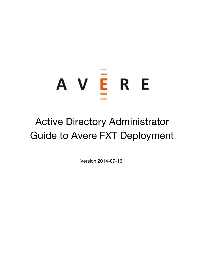# A V E R E

# Active Directory Administrator Guide to Avere FXT Deployment

Version 2014-07-16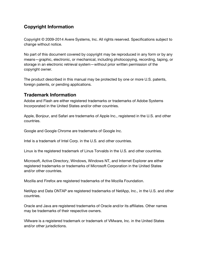# **Copyright Information**

Copyright © 2009-2014 Avere Systems, Inc. All rights reserved. Specifications subject to change without notice.

No part of this document covered by copyright may be reproduced in any form or by any means—graphic, electronic, or mechanical, including photocopying, recording, taping, or storage in an electronic retrieval system—without prior written permission of the copyright owner.

The product described in this manual may be protected by one or more U.S. patents, foreign patents, or pending applications.

### **Trademark Information**

Adobe and Flash are either registered trademarks or trademarks of Adobe Systems Incorporated in the United States and/or other countries.

Apple, Bonjour, and Safari are trademarks of Apple Inc., registered in the U.S. and other countries.

Google and Google Chrome are trademarks of Google Inc.

Intel is a trademark of Intel Corp. in the U.S. and other countries.

Linux is the registered trademark of Linus Torvalds in the U.S. and other countries.

Microsoft, Active Directory, Windows, Windows NT, and Internet Explorer are either registered trademarks or trademarks of Microsoft Corporation in the United States and/or other countries.

Mozilla and Firefox are registered trademarks of the Mozilla Foundation.

NetApp and Data ONTAP are registered trademarks of NetApp, Inc., in the U.S. and other countries.

Oracle and Java are registered trademarks of Oracle and/or its affiliates. Other names may be trademarks of their respective owners.

VMware is a registered trademark or trademark of VMware, Inc. in the United States and/or other jurisdictions.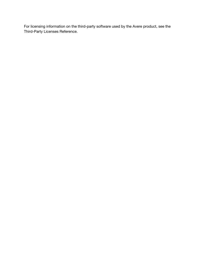For licensing information on the third-party software used by the Avere product, see the Third-Party Licenses Reference.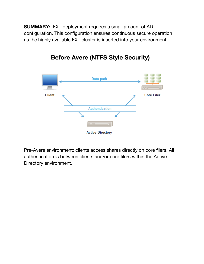**SUMMARY:** FXT deployment requires a small amount of AD configuration. This configuration ensures continuous secure operation as the highly available FXT cluster is inserted into your environment.



**Before Avere (NTFS Style Security)**

Pre-Avere environment: clients access shares directly on core filers. All authentication is between clients and/or core filers within the Active Directory environment.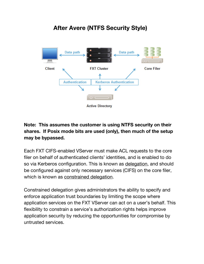# **After Avere (NTFS Security Style)**



# **Note: This assumes the customer is using NTFS security on their shares. If Posix mode bits are used (only), then much of the setup may be bypassed.**

Each FXT CIFS-enabled VServer must make ACL requests to the core filer on behalf of authenticated clients' identities, and is enabled to do so via Kerberos configuration. This is known as delegation, and should be configured against only necessary services (CIFS) on the core filer, which is known as constrained delegation.

Constrained delegation gives administrators the ability to specify and enforce application trust boundaries by limiting the scope where application services on the FXT VServer can act on a user's behalf. This flexibility to constrain a service's authorization rights helps improve application security by reducing the opportunities for compromise by untrusted services.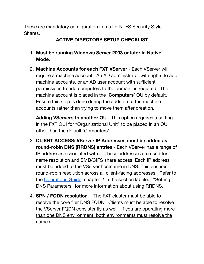These are mandatory configuration items for NTFS Security Style Shares.

# **ACTIVE DIRECTORY SETUP CHECKLIST**

- 1. **Must be running Windows Server 2003 or later in Native Mode.**
- 2. **Machine Accounts for each FXT VServer** Each VServer will require a machine account. An AD administrator with rights to add machine accounts, or an AD user account with sufficient permissions to add computers to the domain, is required. The machine account is placed in the '**Computers**' OU by default. Ensure this step is done during the addition of the machine accounts rather than trying to move them after creation.

**Adding VServers to another OU** - This option requires a setting in the FXT GUI for "Organizational Unit" to be placed in an OU other than the default 'Computers'

- 3. **CLIENT ACCESS: VServer IP Addresses must be added as round-robin DNS (RRDNS) entries** - Each VServer has a range of IP addresses associated with it. These addresses are used for name resolution and SMB/CIFS share access. Each IP address must be added to the VServer hostname in DNS. This ensures round-robin resolution across all client-facing addresses. Refer to the [Operations](https://www.google.com/url?q=https%3A%2F%2Fdownload.averesystems.com%2Fsoftware%2Favereos_3.2_ops.pdf&sa=D&sntz=1&usg=AFQjCNHti1L5GVylOpLKsQEabKTAjU0OIQ) Guide, chapter 2 in the section labeled, "Setting DNS Parameters" for more information about using RRDNS.
- 4. **SPN / FQDN resolution** The FXT cluster must be able to resolve the core filer DNS FQDN. Clients must be able to resolve the VServer FQDN consistently as well. If you are operating more than one DNS environment, both environments must resolve the names.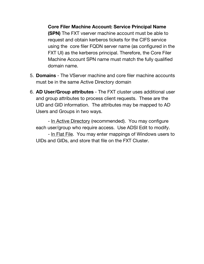**Core Filer Machine Account: Service Principal Name (SPN)** The FXT vserver machine account must be able to request and obtain kerberos tickets for the CIFS service using the core filer FQDN server name (as configured in the FXT UI) as the kerberos principal. Therefore, the Core Filer Machine Account SPN name must match the fully qualified domain name.

- 5. **Domains** The VServer machine and core filer machine accounts must be in the same Active Directory domain
- 6. **AD User/Group attributes** The FXT cluster uses additional user and group attributes to process client requests. These are the UID and GID information. The attributes may be mapped to AD Users and Groups in two ways.

- In Active Directory (recommended). You may configure each user/group who require access. Use ADSI Edit to modify.

- In Flat File. You may enter mappings of Windows users to UIDs and GIDs, and store that file on the FXT Cluster.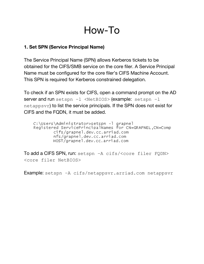# How-To

# **1. Set SPN (Service Principal Name)**

The Service Principal Name (SPN) allows Kerberos tickets to be obtained for the CIFS/SMB service on the core filer. A Service Principal Name must be configured for the core filer's CIFS Machine Account. This SPN is required for Kerberos constrained delegation.

To check if an SPN exists for CIFS, open a command prompt on the AD server and run setspn -1 <NetBIOS> (example: setspn -1 netappsvr) to list the service principals. If the SPN does not exist for CIFS and the FQDN, it must be added.

```
C:\Users\Administrator>setspn -1 grapne1<br>Registered ServicePrincipalNames for CN=GRAPNEL,CN=Comp
cifs/grapnel.dev.cc.arriad.com
nfs/grapnel.dev.cc.arriad.com
HOST/grapnel.dev.cc.arriad.com
```
To add a CIFS SPN, run: setspn –A cifs/<core filer FQDN> <core filer NetBIOS>

Example: setspn –A cifs/netappsvr.arriad.com netappsvr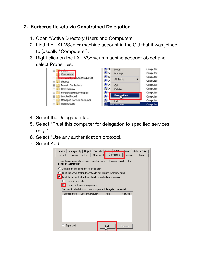# **2. Kerberos tickets via Constrained Delegation**

- 1. Open "Active Directory Users and Computers".
- 2. Find the FXT VServer machine account in the OU that it was joined to (usually "Computers").
- 3. Right click on the FXT VServer's machine account object and select Properties.



- 4. Select the Delegation tab.
- 5. Select "Trust this computer for delegation to specified services only."
- 6. Select "Use any authentication protocol."
- 7. Select Add.

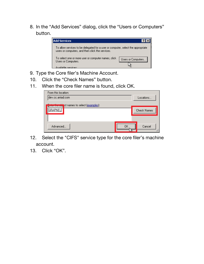8. In the "Add Services" dialog, click the "Users or Computers" button.



- 9. Type the Core filer's Machine Account.
- 10. Click the "Check Names" button.
- 11. When the core filer name is found, click OK.

| From this location:                                 |                    |
|-----------------------------------------------------|--------------------|
| ldev.cc.arriad.com                                  | Locations          |
| <b>Enter the ebj</b> ct names to select (examples): |                    |
| <b>GRAPNEL</b>                                      | <b>Check Names</b> |
|                                                     |                    |
|                                                     |                    |
| Advanced                                            | Cancel             |
|                                                     |                    |

- 12. Select the "CIFS" service type for the core filer's machine account.
- 13. Click "OK".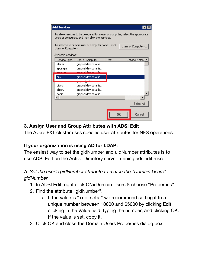|                                                                            | <b>Add Services</b>                                                                                                                  |                      |           | ?                  |
|----------------------------------------------------------------------------|--------------------------------------------------------------------------------------------------------------------------------------|----------------------|-----------|--------------------|
|                                                                            | To allow services to be delegated for a user or computer, select the appropriate<br>users or computers, and then click the services. |                      |           |                    |
| To select one or more user or computer names, click<br>Users or Computers. |                                                                                                                                      |                      |           | Users or Computers |
|                                                                            | Available services:                                                                                                                  |                      |           |                    |
|                                                                            | Service Type                                                                                                                         | User or Computer     | Port      | Service Name       |
|                                                                            | alerter                                                                                                                              | grapnel.dev.cc.arria |           |                    |
|                                                                            | appmgmt                                                                                                                              | grapnel.dev.cc.arria |           |                    |
|                                                                            |                                                                                                                                      |                      |           |                    |
|                                                                            | cifs                                                                                                                                 | grapnel.dev.cc.arria |           |                    |
|                                                                            |                                                                                                                                      |                      |           |                    |
|                                                                            | cisvc                                                                                                                                | grapnel.dev.cc.arria |           |                    |
|                                                                            | clipsrv                                                                                                                              | grapnel.dev.cc.arria |           |                    |
|                                                                            | dcom                                                                                                                                 | grapnel.dev.cc.arria |           |                    |
|                                                                            |                                                                                                                                      |                      |           |                    |
|                                                                            |                                                                                                                                      |                      |           | Select All         |
|                                                                            |                                                                                                                                      |                      | <b>OK</b> | Cancel             |

# **3. Assign User and Group Attributes with ADSI Edit**

The Avere FXT cluster uses specific user attributes for NFS operations.

# **If your organization is using AD for LDAP:**

The easiest way to set the gidNumber and uidNumber attributes is to use ADSI Edit on the Active Directory server running adsiedit.msc.

# *A. Set the user's gidNumber attribute to match the "Domain Users" gidNumber.*

- 1. In ADSI Edit, right click CN=Domain Users & choose "Properties".
- 2. Find the attribute "gidNumber".
	- a. If the value is "<not set>," we recommend setting it to a unique number between 10000 and 65000 by clicking Edit, clicking in the Value field, typing the number, and clicking OK. If the value is set, copy it.
- 3. Click OK and close the Domain Users Properties dialog box.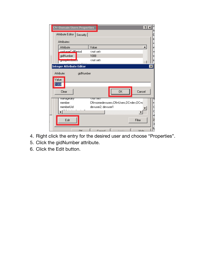| <b>CN=Domain Users Properties</b><br>Attribute Editor   Security |                                      | $\sqrt{2 x }$    |
|------------------------------------------------------------------|--------------------------------------|------------------|
| Attributes:                                                      |                                      |                  |
| Attribute                                                        | Value                                | $\blacktriangle$ |
| aarbageCollPeriod                                                | <not set=""></not>                   |                  |
| gidNumber                                                        | 1008                                 |                  |
| <mark>ерекрампекас</mark> 8                                      | <not set=""></not>                   |                  |
| Integer Attribute Editor                                         |                                      | $\pmb{\times}$   |
| gidNumber<br>Attribute:<br>Value:<br>1008<br>Clear               | 0K<br>Cancel                         |                  |
| manageooy                                                        | रतामराष्ट्र                          |                  |
| member                                                           | CN=somedevusers,CN=Users,DC=dev,DC=d |                  |
| memberUid                                                        | devuser2; devuser1                   |                  |
|                                                                  |                                      |                  |
| Edit                                                             | Filter                               |                  |
| ΩK                                                               | $C_{\text{current}}$<br>$11 -$       |                  |

- 4. Right click the entry for the desired user and choose "Properties".
- 5. Click the gidNumber attribute.
- 6. Click the Edit button.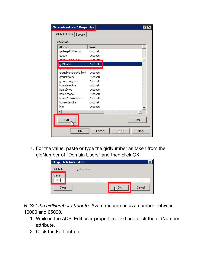| <b>CN=ronhtestuser3 Properties</b><br>$?$ $\times$ |                        |       |        |
|----------------------------------------------------|------------------------|-------|--------|
| Attribute Editor  <br>Security                     |                        |       |        |
| Attributes:                                        |                        |       |        |
| Attribute                                          | Value                  |       | ▲      |
| garbageCollPeriod                                  | <not set=""></not>     |       |        |
| gecos                                              | <not set=""></not>     |       |        |
| reneration Dualifier                               | / not eat\             |       |        |
| gidNumber                                          | <not set=""></not>     |       |        |
| <b>CONSTRUCTION</b>                                | .<br>Matuki mengenakan |       |        |
| groupMembershipSAM                                 | <not set=""></not>     |       |        |
| groupPriority                                      | <not set=""></not>     |       |        |
| groupsTolgnore                                     | <not set=""></not>     |       |        |
| homeDirectory                                      | <not set=""></not>     |       |        |
| homeDrive                                          | <not set=""></not>     |       |        |
| homePhone                                          | <not set=""></not>     |       |        |
| homePostalAddress                                  | <not set=""></not>     |       |        |
| houseIdentifier                                    | <not set=""></not>     |       |        |
| info                                               | <not set=""></not>     |       |        |
|                                                    |                        |       |        |
|                                                    |                        |       |        |
| Edit                                               |                        |       | Filter |
| <b>OK</b>                                          | Cancel                 | Apply | Help   |

7. For the value, paste or type the gidNumber as taken from the gidNumber of "Domain Users" and then click OK.

|            | Integer Attribute Editor |    |        |
|------------|--------------------------|----|--------|
| Attribute: | gidNumber                |    |        |
| Value:     |                          |    |        |
| 1008       |                          |    |        |
| Clear      |                          | OΚ | Cancel |

*B. Set the uidNumber attribute.* Avere recommends a number between 10000 and 65000.

- 1. While in the ADSI Edit user properties, find and click the uidNumber attribute.
- 2. Click the Edit button.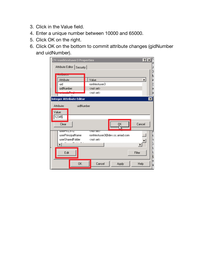- 3. Click in the Value field.
- 4. Enter a unique number between 10000 and 65000.
- 5. Click OK on the right.
- 6. Click OK on the bottom to commit attribute changes (gidNumber and uidNumber).

| <b>CN=ronhtestuser3 Properties</b><br>Attribute Editor   Security                                                            |                                                            | $ ?  \times$            |
|------------------------------------------------------------------------------------------------------------------------------|------------------------------------------------------------|-------------------------|
| <b>Manufacturers</b><br>Attribute                                                                                            | Value                                                      | $\blacktriangle$        |
| uid<br>uidNumber                                                                                                             | ronhtestuser3<br><not set=""><br/><not set=""></not></not> |                         |
| <b>Integer Attribute Editor</b><br>uidNumber<br>Attribute:                                                                   |                                                            | $\overline{\mathbf{x}}$ |
| Value:<br>12345                                                                                                              |                                                            |                         |
| Clear                                                                                                                        | QK                                                         | Cancel                  |
| रतामराष्ट्र<br>useinkus 12<br>userPrincipalName<br>ronhtestuser3@dev.cc.arriad.com<br>userSharedFolder<br><not set=""></not> |                                                            |                         |
| Edit                                                                                                                         |                                                            | Filter                  |
| 0K                                                                                                                           | Cancel<br>Apply                                            | Help<br>N               |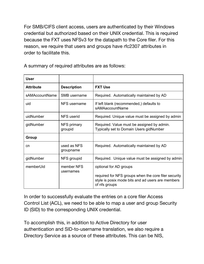For SMB/CIFS client access, users are authenticated by their Windows credential but authorized based on their UNIX credential. This is required because the FXT uses NFSv3 for the datapath to the Core filer. For this reason, we require that users and groups have rfc2307 attributes in order to facilitate this.

| <b>User</b>      |                          |                                                                                                                            |
|------------------|--------------------------|----------------------------------------------------------------------------------------------------------------------------|
| <b>Attribute</b> | <b>Description</b>       | <b>FXT Use</b>                                                                                                             |
| sAMAccountName   | SMB username             | Required. Automatically maintained by AD                                                                                   |
| uid              | NFS username             | If left blank (recommended,) defaults to<br>sAMAaccountName                                                                |
| uidNumber        | NFS userid               | Required. Unique value must be assigned by admin                                                                           |
| gidNumber        | NFS primary<br>groupid   | Required. Value must be assigned by admin.<br>Typically set to Domain Users gidNumber                                      |
| Group            |                          |                                                                                                                            |
| cn               | used as NFS<br>groupname | Required. Automatically maintained by AD                                                                                   |
| gidNumber        | NFS groupid              | Required. Unique value must be assigned by admin                                                                           |
| memberUid        | member NFS<br>usernames  | optional for AD groups                                                                                                     |
|                  |                          | required for NFS groups when the core filer security<br>style is posix mode bits and ad users are members<br>of nfs groups |

A summary of required attributes are as follows:

In order to successfully evaluate the entries on a core filer Access Control List (ACL), we need to be able to map a user and group Security ID (SID) to the corresponding UNIX credential.

To accomplish this, in addition to Active Directory for user authentication and SID-to-username translation, we also require a Directory Service as a source of these attributes. This can be NIS,